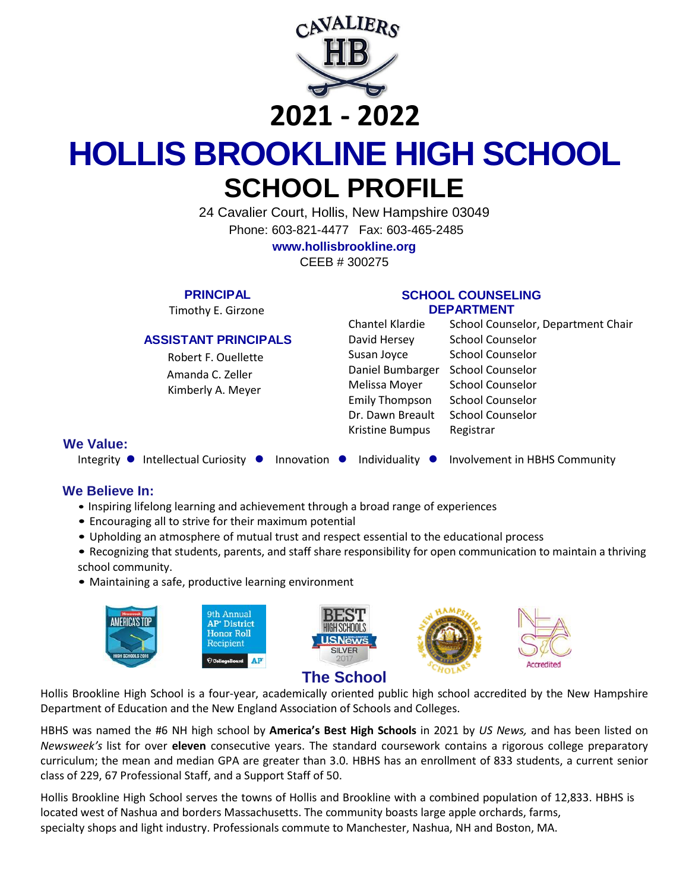

## **2021 - 2022**

# **HOLLIS BROOKLINE HIGH SCHOOL SCHOOL PROFILE**

24 Cavalier Court, Hollis, New Hampshire 03049 Phone: 603-821-4477 Fax: 603-465-2485 **[www.hollisbrookline.org](http://www.hollisbrookline.org/)**

CEEB # 300275

**PRINCIPAL**

Timothy E. Girzone

#### **ASSISTANT PRINCIPALS**

 Robert F. Ouellette Amanda C. Zeller Kimberly A. Meyer

#### **SCHOOL COUNSELING DEPARTMENT**

| Chantel Klardie       | School Counselor, Department Chair |
|-----------------------|------------------------------------|
| David Hersey          | <b>School Counselor</b>            |
| Susan Joyce           | <b>School Counselor</b>            |
| Daniel Bumbarger      | <b>School Counselor</b>            |
| Melissa Moyer         | <b>School Counselor</b>            |
| <b>Emily Thompson</b> | <b>School Counselor</b>            |
| Dr. Dawn Breault      | <b>School Counselor</b>            |
| Kristine Bumpus       | Registrar                          |
|                       |                                    |

#### **We Value:**

Integrity  $\bullet$  Intellectual Curiosity  $\bullet$  Innovation  $\bullet$  Individuality  $\bullet$  Involvement in HBHS Community

#### **We Believe In:**

- Inspiring lifelong learning and achievement through a broad range of experiences
- Encouraging all to strive for their maximum potential
- Upholding an atmosphere of mutual trust and respect essential to the educational process
- Recognizing that students, parents, and staff share responsibility for open communication to maintain a thriving school community.
- Maintaining a safe, productive learning environment



Hollis Brookline High School is a four-year, academically oriented public high school accredited by the New Hampshire Department of Education and the New England Association of Schools and Colleges.

HBHS was named the #6 NH high school by **America's Best High Schools** in 2021 by *US News,* and has been listed on *Newsweek's* list for over **eleven** consecutive years. The standard coursework contains a rigorous college preparatory curriculum; the mean and median GPA are greater than 3.0. HBHS has an enrollment of 833 students, a current senior class of 229, 67 Professional Staff, and a Support Staff of 50.

Hollis Brookline High School serves the towns of Hollis and Brookline with a combined population of 12,833. HBHS is located west of Nashua and borders Massachusetts. The community boasts large apple orchards, farms, specialty shops and light industry. Professionals commute to Manchester, Nashua, NH and Boston, MA.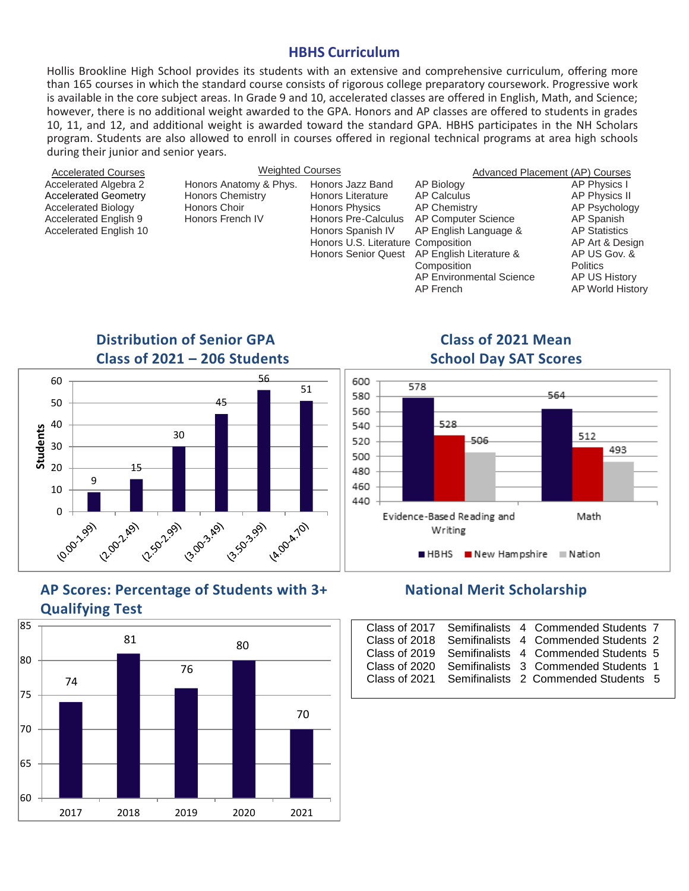#### **HBHS Curriculum**

Hollis Brookline High School provides its students with an extensive and comprehensive curriculum, offering more than 165 courses in which the standard course consists of rigorous college preparatory coursework. Progressive work is available in the core subject areas. In Grade 9 and 10, accelerated classes are offered in English, Math, and Science; however, there is no additional weight awarded to the GPA. Honors and AP classes are offered to students in grades 10, 11, and 12, and additional weight is awarded toward the standard GPA. HBHS participates in the NH Scholars program. Students are also allowed to enroll in courses offered in regional technical programs at area high schools during their junior and senior years.

| <b>Accelerated Courses</b>                                                                                                                   | <b>Weighted Courses</b>                                                        |                                                                                                                                                                                |                                                                                                                                                                 | Advanced Placement (AP) Courses                                                                                                                                |
|----------------------------------------------------------------------------------------------------------------------------------------------|--------------------------------------------------------------------------------|--------------------------------------------------------------------------------------------------------------------------------------------------------------------------------|-----------------------------------------------------------------------------------------------------------------------------------------------------------------|----------------------------------------------------------------------------------------------------------------------------------------------------------------|
| Accelerated Algebra 2<br><b>Accelerated Geometry</b><br>Accelerated Biology<br><b>Accelerated English 9</b><br><b>Accelerated English 10</b> | Honors Anatomy & Phys.<br>Honors Chemistry<br>Honors Choir<br>Honors French IV | Honors Jazz Band<br><b>Honors Literature</b><br>Honors Physics<br>Honors Pre-Calculus<br>Honors Spanish IV<br>Honors U.S. Literature Composition<br><b>Honors Senior Quest</b> | AP Biology<br>AP Calculus<br>AP Chemistry<br>AP Computer Science<br>AP English Language &<br>AP English Literature &<br>Composition<br>AP Environmental Science | AP Physics I<br><b>AP Physics II</b><br>AP Psycholog<br>AP Spanish<br><b>AP Statistics</b><br>AP Art & Desi<br>AP US Gov. 8<br><b>Politics</b><br>AP US Histor |
|                                                                                                                                              |                                                                                |                                                                                                                                                                                | AP French                                                                                                                                                       | <b>AP World Hist</b>                                                                                                                                           |
|                                                                                                                                              | <b>Distribution of Senior GPA</b>                                              |                                                                                                                                                                                | <b>Class of 2021 Mean</b>                                                                                                                                       |                                                                                                                                                                |



AP Physics I AP Physics II AP Psychology AP Spanish AP Statistics AP Art & Design AP US Gov. & **Politics** AP US History AP World History



## **Class of 2021 – 206 Students School Day SAT Scores**



### **AP Scores: Percentage of Students with 3+ National Merit Scholarship Qualifying Test**



|               |  | Class of 2017 Semifinalists 4 Commended Students 7 |  |
|---------------|--|----------------------------------------------------|--|
| Class of 2018 |  | Semifinalists 4 Commended Students 2               |  |
| Class of 2019 |  | Semifinalists 4 Commended Students 5               |  |
| Class of 2020 |  | Semifinalists 3 Commended Students 1               |  |
| Class of 2021 |  | Semifinalists 2 Commended Students 5               |  |
|               |  |                                                    |  |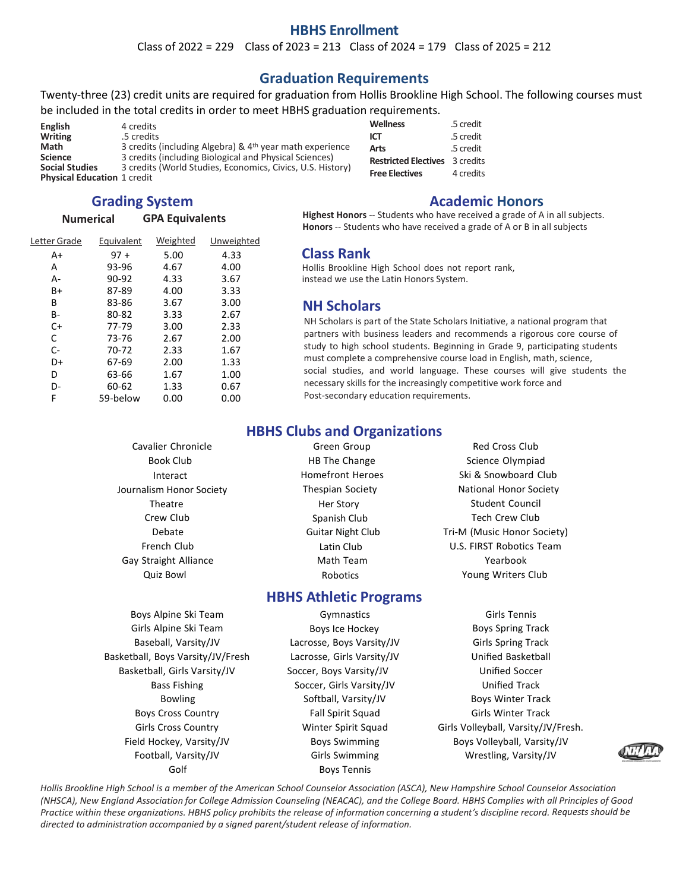#### **HBHS Enrollment**

Class of  $2022 = 229$  Class of  $2023 = 213$  Class of  $2024 = 179$  Class of  $2025 = 212$ 

#### **Graduation Requirements**

Twenty-three (23) credit units are required for graduation from Hollis Brookline High School. The following courses must be included in the total credits in order to meet HBHS graduation requirements.

| English                            | 4 credits                                                            |
|------------------------------------|----------------------------------------------------------------------|
| <b>Writing</b>                     | .5 credits                                                           |
| Math                               | 3 credits (including Algebra) & 4 <sup>th</sup> year math experience |
| <b>Science</b>                     | 3 credits (including Biological and Physical Sciences)               |
| <b>Social Studies</b>              | 3 credits (World Studies, Economics, Civics, U.S. History)           |
| <b>Physical Education 1 credit</b> |                                                                      |

#### **Grading System**

#### **Numerical GPA Equivalents**

| Letter Grade | Equivalent | Weighted | Unweighted |
|--------------|------------|----------|------------|
| A+           | $97 +$     | 5.00     | 4.33       |
| А            | 93-96      | 4.67     | 4.00       |
| А-           | 90-92      | 4.33     | 3.67       |
| B+           | 87-89      | 4.00     | 3.33       |
| В            | 83-86      | 3.67     | 3.00       |
| B-           | 80-82      | 3.33     | 2.67       |
| $C+$         | 77-79      | 3.00     | 2.33       |
| C            | 73-76      | 2.67     | 2.00       |
| C-           | 70-72      | 2.33     | 1.67       |
| D+           | 67-69      | 2.00     | 1.33       |
| D            | 63-66      | 1.67     | 1.00       |
| D-           | 60-62      | 1.33     | 0.67       |
| F            | 59-below   | 0.00     | 0.00       |
|              |            |          |            |

| <b>Wellness</b>             | .5 credit |
|-----------------------------|-----------|
| ICT                         | .5 credit |
| Arts                        | .5 credit |
| <b>Restricted Electives</b> | 3 credits |
| <b>Free Electives</b>       | 4 credits |

#### **Academic Honors**

**Highest Honors** -- Students who have received a grade of A in all subjects. **Honors** -- Students who have received a grade of A or B in all subjects

#### **Class Rank**

Hollis Brookline High School does not report rank, instead we use the Latin Honors System.

#### **NH Scholars**

NH Scholars is part of the State Scholars Initiative, a national program that partners with business leaders and recommends a rigorous core course of study to high school students. Beginning in Grade 9, participating students must complete a comprehensive course load in English, math, science, social studies, and world language. These courses will give students the necessary skills for the increasingly competitive work force and Post-secondary education requirements.

#### **HBHS Clubs and Organizations**

Cavalier Chronicle **Cavalier Chronicle** Green Group **Red Cross Club** Gay Straight Alliance **Math Team** Math Team **Yearbook** Quiz Bowl Robotics Young Writers Club

#### **HBHS Athletic Programs**

Girls Alpine Ski Team **Boys Ice Hockey** Boys Spring Track Baseball, Varsity/JV Lacrosse, Boys Varsity/JV Girls Spring Track Basketball, Boys Varsity/JV/Fresh Lacrosse, Girls Varsity/JV Unified Basketball Basketball, Girls Varsity/JV Soccer, Boys Varsity/JV Unified Soccer Boys Cross Country **Fall Spirit Squad** Girls Winter Track Field Hockey, Varsity/JV **Boys Swimming** Boys Volleyball, Varsity/JV Football, Varsity/JV **Girls Swimming** Museum Construction Construction Construction Construction Construction Co

- Boys Alpine Ski Team Gymnastics Girls Tennis Bass Fishing Track Soccer, Girls Varsity/JV Track Unified Track Bowling Softball, Varsity/JV Boys Winter Track Golf Boys Tennis
- Book Club **HB The Change** Science Olympiad Science Olympiad Interact **Exercise School** Homefront Heroes Ski & Snowboard Club Journalism Honor Society **Thespian Society** Thespian Society **National Honor Society** Theatre Story Her Story Student Council Crew Club **Spanish Club** Spanish Club Tech Crew Club Debate Guitar Night Club Tri-M (Music Honor Society) French Club Latin Club U.S. FIRST Robotics Team

Girls Cross Country Winter Spirit Squad Girls Volleyball, Varsity/JV/Fresh.



*Hollis Brookline High School is a member of the American School Counselor Association (ASCA), New Hampshire School Counselor Association (NHSCA), New England Association for College Admission Counseling (NEACAC), and the College Board. HBHS Complies with all Principles of Good Practice within these organizations. HBHS policy prohibits the release of information concerning a student's discipline record. Requests should be directed to administration accompanied by a signed parent/student release of information.*